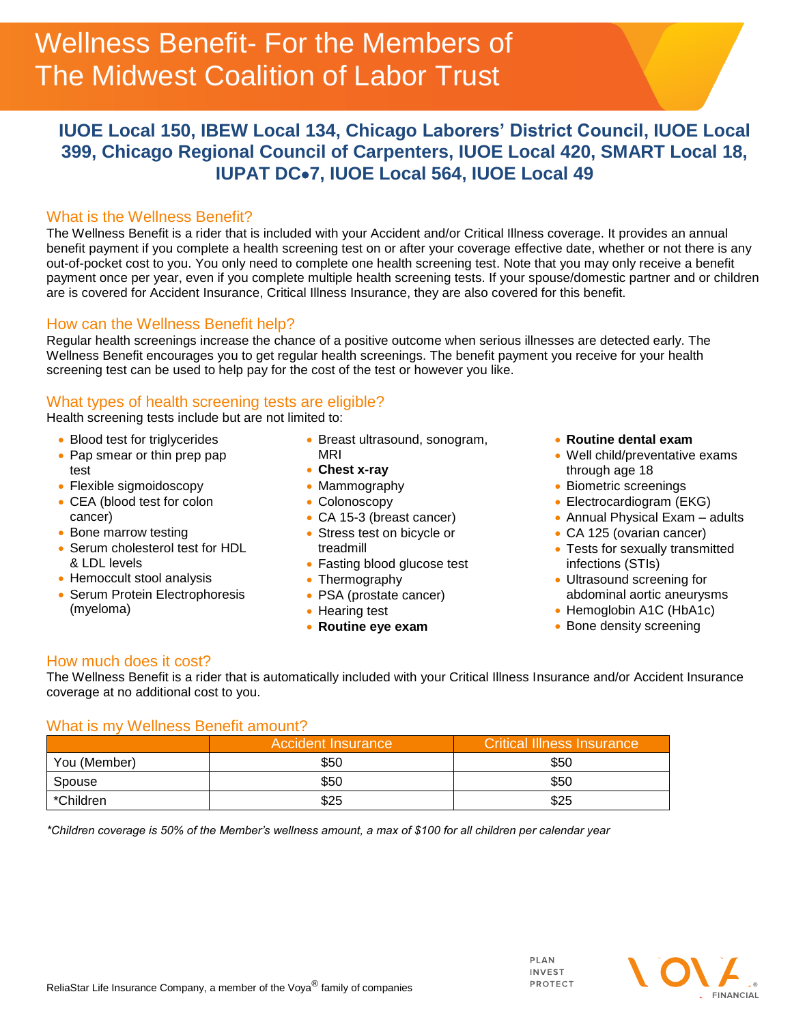# **IUOE Local 150, IBEW Local 134, Chicago Laborers' District Council, IUOE Local 399, Chicago Regional Council of Carpenters, IUOE Local 420, SMART Local 18, IUPAT DC7, IUOE Local 564, IUOE Local 49**

## What is the Wellness Benefit?

The Wellness Benefit is a rider that is included with your Accident and/or Critical Illness coverage. It provides an annual benefit payment if you complete a health screening test on or after your coverage effective date, whether or not there is any out-of-pocket cost to you. You only need to complete one health screening test. Note that you may only receive a benefit payment once per year, even if you complete multiple health screening tests. If your spouse/domestic partner and or children are is covered for Accident Insurance, Critical Illness Insurance, they are also covered for this benefit.

### How can the Wellness Benefit help?

Regular health screenings increase the chance of a positive outcome when serious illnesses are detected early. The Wellness Benefit encourages you to get regular health screenings. The benefit payment you receive for your health screening test can be used to help pay for the cost of the test or however you like.

## What types of health screening tests are eligible?

Health screening tests include but are not limited to:

- Blood test for triglycerides
- Pap smear or thin prep pap test
- Flexible sigmoidoscopy
- CEA (blood test for colon cancer)
- Bone marrow testing
- Serum cholesterol test for HDL & LDL levels
- Hemoccult stool analysis
- Serum Protein Electrophoresis (myeloma)
- Breast ultrasound, sonogram, MRI
- **Chest x-ray**
- Mammography
- Colonoscopy
- CA 15-3 (breast cancer)
- Stress test on bicycle or treadmill
- Fasting blood glucose test
- Thermography
- PSA (prostate cancer)
- Hearing test
- **Routine eye exam**
- **Routine dental exam**
- Well child/preventative exams through age 18
- Biometric screenings
- Electrocardiogram (EKG)
- Annual Physical Exam adults
- CA 125 (ovarian cancer)
- Tests for sexually transmitted infections (STIs)
- Ultrasound screening for abdominal aortic aneurysms
- Hemoglobin A1C (HbA1c)
- Bone density screening

## How much does it cost?

The Wellness Benefit is a rider that is automatically included with your Critical Illness Insurance and/or Accident Insurance coverage at no additional cost to you.

### What is my Wellness Benefit amount?

|              | <b>Accident Insurance</b> | <b>Critical Illness Insurance</b> |
|--------------|---------------------------|-----------------------------------|
| You (Member) | \$50                      | \$50                              |
| Spouse       | \$50                      | \$50                              |
| *Children    | \$25                      | \$25                              |

*\*Children coverage is 50% of the Member's wellness amount, a max of \$100 for all children per calendar year*